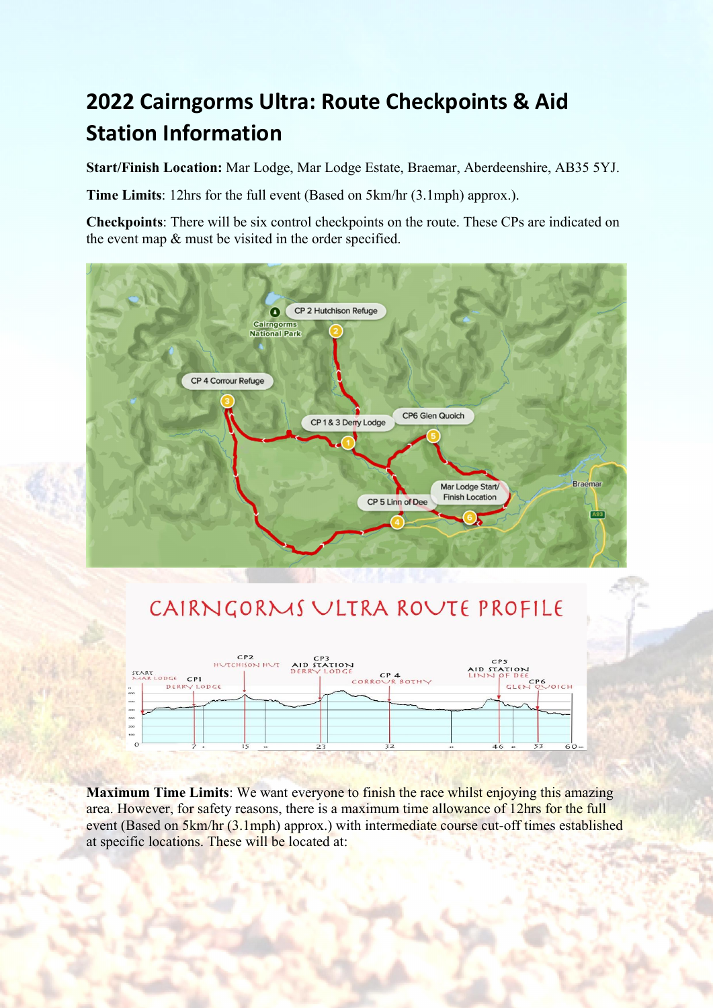## 2022 Cairngorms Ultra: Route Checkpoints & Aid Station Information

Start/Finish Location: Mar Lodge, Mar Lodge Estate, Braemar, Aberdeenshire, AB35 5YJ.

Time Limits: 12hrs for the full event (Based on 5km/hr (3.1mph) approx.).

Checkpoints: There will be six control checkpoints on the route. These CPs are indicated on the event map & must be visited in the order specified.



## CAIRNGORMS ULTRA ROUTE PROFILE



Maximum Time Limits: We want everyone to finish the race whilst enjoying this amazing area. However, for safety reasons, there is a maximum time allowance of 12hrs for the full event (Based on 5km/hr (3.1mph) approx.) with intermediate course cut-off times established at specific locations. These will be located at: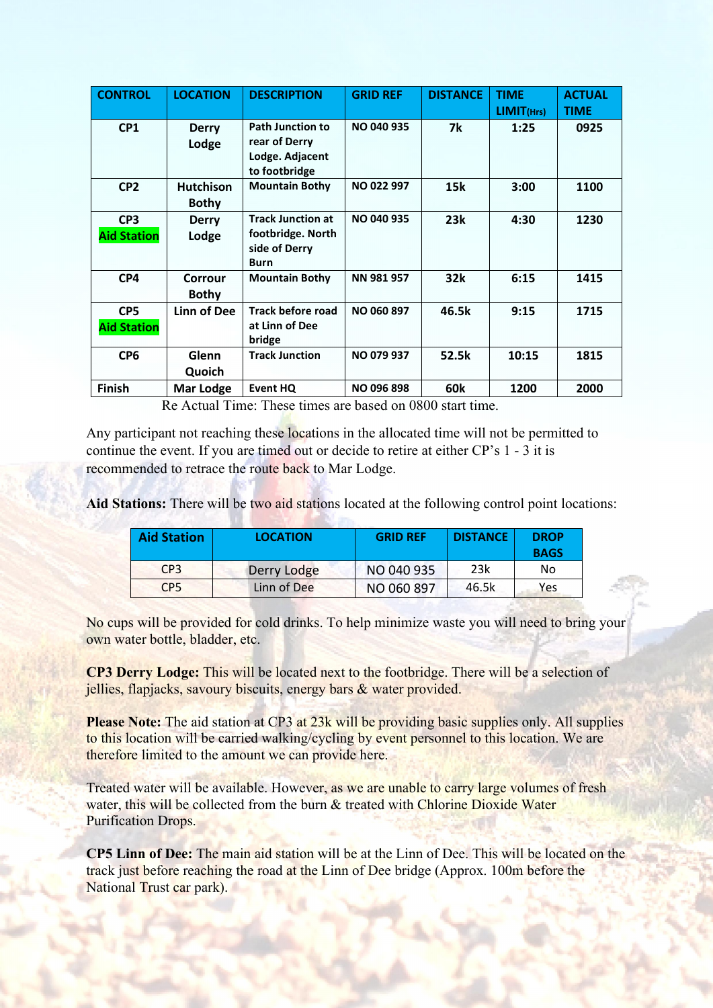| <b>CONTROL</b>                        | <b>LOCATION</b>                  | <b>DESCRIPTION</b>                                                            | <b>GRID REF</b>   | <b>DISTANCE</b> | <b>TIME</b><br>LIMIT(Hrs) | <b>ACTUAL</b><br><b>TIME</b> |
|---------------------------------------|----------------------------------|-------------------------------------------------------------------------------|-------------------|-----------------|---------------------------|------------------------------|
| CP1                                   | <b>Derry</b><br>Lodge            | <b>Path Junction to</b><br>rear of Derry<br>Lodge. Adjacent<br>to footbridge  | NO 040 935        | 7k              | 1:25                      | 0925                         |
| CP <sub>2</sub>                       | <b>Hutchison</b><br><b>Bothy</b> | <b>Mountain Bothy</b>                                                         | <b>NO 022 997</b> | 15k             | 3:00                      | 1100                         |
| CP <sub>3</sub><br><b>Aid Station</b> | <b>Derry</b><br>Lodge            | <b>Track Junction at</b><br>footbridge. North<br>side of Derry<br><b>Burn</b> | <b>NO 040 935</b> | 23k             | 4:30                      | 1230                         |
| CP4                                   | Corrour<br><b>Bothy</b>          | <b>Mountain Bothy</b>                                                         | NN 981 957        | 32k             | 6:15                      | 1415                         |
| CP <sub>5</sub><br><b>Aid Station</b> | Linn of Dee                      | <b>Track before road</b><br>at Linn of Dee<br>bridge                          | <b>NO 060 897</b> | 46.5k           | 9:15                      | 1715                         |
| CP <sub>6</sub>                       | Glenn<br>Quoich                  | <b>Track Junction</b>                                                         | NO 079 937        | 52.5k           | 10:15                     | 1815                         |
| <b>Finish</b>                         | <b>Mar Lodge</b>                 | <b>Event HQ</b>                                                               | <b>NO 096 898</b> | 60k             | 1200                      | 2000                         |

Re Actual Time: These times are based on 0800 start time.

Any participant not reaching these locations in the allocated time will not be permitted to continue the event. If you are timed out or decide to retire at either CP's 1 - 3 it is recommended to retrace the route back to Mar Lodge.

Aid Stations: There will be two aid stations located at the following control point locations:

| <b>Aid Station</b> | <b>LOCATION</b> | <b>GRID REF</b> | <b>DISTANCE</b> | <b>DROP</b><br><b>BAGS</b> |
|--------------------|-----------------|-----------------|-----------------|----------------------------|
| CP <sub>3</sub>    | Derry Lodge     | NO 040 935      | 23k             | No                         |
| CP <sub>5</sub>    | Linn of Dee     | NO 060 897      | 46.5k           | Yes                        |

No cups will be provided for cold drinks. To help minimize waste you will need to bring your own water bottle, bladder, etc.

CP3 Derry Lodge: This will be located next to the footbridge. There will be a selection of jellies, flapjacks, savoury biscuits, energy bars & water provided.

Please Note: The aid station at CP3 at 23k will be providing basic supplies only. All supplies to this location will be carried walking/cycling by event personnel to this location. We are therefore limited to the amount we can provide here.

Treated water will be available. However, as we are unable to carry large volumes of fresh water, this will be collected from the burn & treated with Chlorine Dioxide Water Purification Drops.

CP5 Linn of Dee: The main aid station will be at the Linn of Dee. This will be located on the track just before reaching the road at the Linn of Dee bridge (Approx. 100m before the National Trust car park).